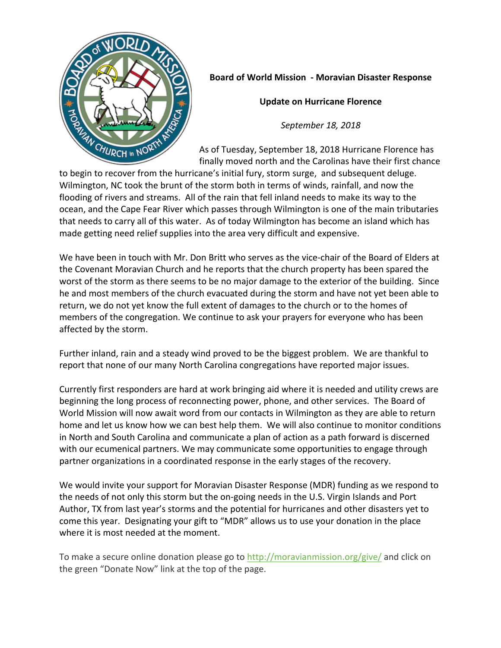

## **Board of World Mission - Moravian Disaster Response**

**Update on Hurricane Florence** 

*September 18, 2018*

As of Tuesday, September 18, 2018 Hurricane Florence has finally moved north and the Carolinas have their first chance

to begin to recover from the hurricane's initial fury, storm surge, and subsequent deluge. Wilmington, NC took the brunt of the storm both in terms of winds, rainfall, and now the flooding of rivers and streams. All of the rain that fell inland needs to make its way to the ocean, and the Cape Fear River which passes through Wilmington is one of the main tributaries that needs to carry all of this water. As of today Wilmington has become an island which has made getting need relief supplies into the area very difficult and expensive.

We have been in touch with Mr. Don Britt who serves as the vice-chair of the Board of Elders at the Covenant Moravian Church and he reports that the church property has been spared the worst of the storm as there seems to be no major damage to the exterior of the building. Since he and most members of the church evacuated during the storm and have not yet been able to return, we do not yet know the full extent of damages to the church or to the homes of members of the congregation. We continue to ask your prayers for everyone who has been affected by the storm.

Further inland, rain and a steady wind proved to be the biggest problem. We are thankful to report that none of our many North Carolina congregations have reported major issues.

Currently first responders are hard at work bringing aid where it is needed and utility crews are beginning the long process of reconnecting power, phone, and other services. The Board of World Mission will now await word from our contacts in Wilmington as they are able to return home and let us know how we can best help them. We will also continue to monitor conditions in North and South Carolina and communicate a plan of action as a path forward is discerned with our ecumenical partners. We may communicate some opportunities to engage through partner organizations in a coordinated response in the early stages of the recovery.

We would invite your support for Moravian Disaster Response (MDR) funding as we respond to the needs of not only this storm but the on-going needs in the U.S. Virgin Islands and Port Author, TX from last year's storms and the potential for hurricanes and other disasters yet to come this year. Designating your gift to "MDR" allows us to use your donation in the place where it is most needed at the moment.

To make a secure online donation please go to http://moravianmission.org/give/ and click on the green "Donate Now" link at the top of the page.